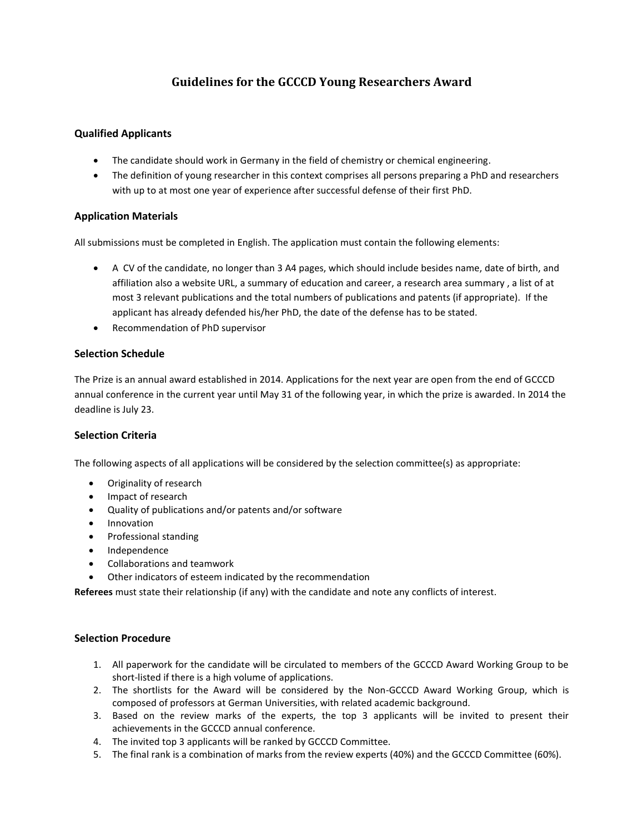# **Guidelines for the GCCCD Young Researchers Award**

### **Qualified Applicants**

- The candidate should work in Germany in the field of chemistry or chemical engineering.
- The definition of young researcher in this context comprises all persons preparing a PhD and researchers with up to at most one year of experience after successful defense of their first PhD.

### **Application Materials**

All submissions must be completed in English. The application must contain the following elements:

- A CV of the candidate, no longer than 3 A4 pages, which should include besides name, date of birth, and affiliation also a website URL, a summary of education and career, a research area summary , a list of at most 3 relevant publications and the total numbers of publications and patents (if appropriate). If the applicant has already defended his/her PhD, the date of the defense has to be stated.
- Recommendation of PhD supervisor

### **Selection Schedule**

The Prize is an annual award established in 2014. Applications for the next year are open from the end of GCCCD annual conference in the current year until May 31 of the following year, in which the prize is awarded. In 2014 the deadline is July 23.

### **Selection Criteria**

The following aspects of all applications will be considered by the selection committee(s) as appropriate:

- Originality of research
- Impact of research
- Quality of publications and/or patents and/or software
- Innovation
- Professional standing
- Independence
- Collaborations and teamwork
- Other indicators of esteem indicated by the recommendation

**Referees** must state their relationship (if any) with the candidate and note any conflicts of interest.

#### **Selection Procedure**

- 1. All paperwork for the candidate will be circulated to members of the GCCCD Award Working Group to be short-listed if there is a high volume of applications.
- 2. The shortlists for the Award will be considered by the Non-GCCCD Award Working Group, which is composed of professors at German Universities, with related academic background.
- 3. Based on the review marks of the experts, the top 3 applicants will be invited to present their achievements in the GCCCD annual conference.
- 4. The invited top 3 applicants will be ranked by GCCCD Committee.
- 5. The final rank is a combination of marks from the review experts (40%) and the GCCCD Committee (60%).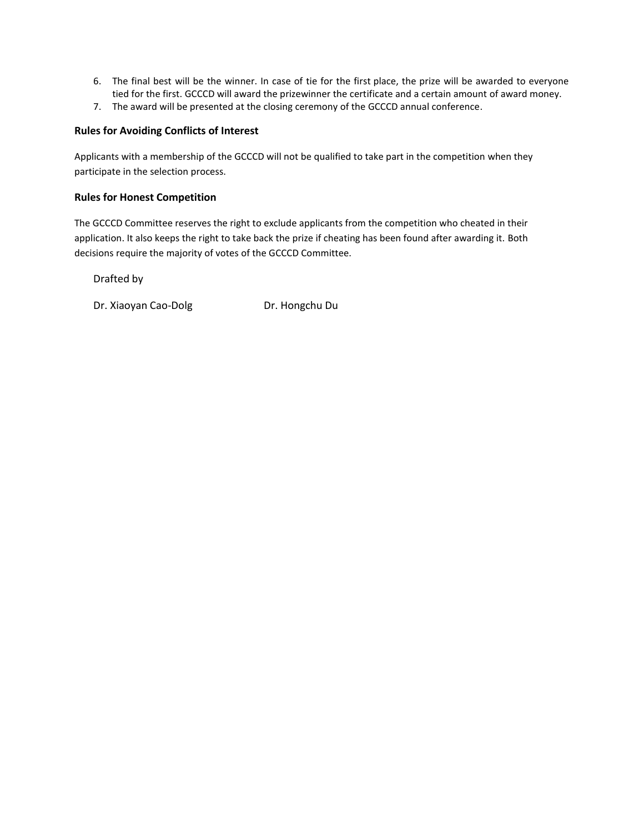- 6. The final best will be the winner. In case of tie for the first place, the prize will be awarded to everyone tied for the first. GCCCD will award the prizewinner the certificate and a certain amount of award money.
- 7. The award will be presented at the closing ceremony of the GCCCD annual conference.

#### **Rules for Avoiding Conflicts of Interest**

Applicants with a membership of the GCCCD will not be qualified to take part in the competition when they participate in the selection process.

#### **Rules for Honest Competition**

The GCCCD Committee reserves the right to exclude applicants from the competition who cheated in their application. It also keeps the right to take back the prize if cheating has been found after awarding it. Both decisions require the majority of votes of the GCCCD Committee.

Drafted by

Dr. Xiaoyan Cao-Dolg Dr. Hongchu Du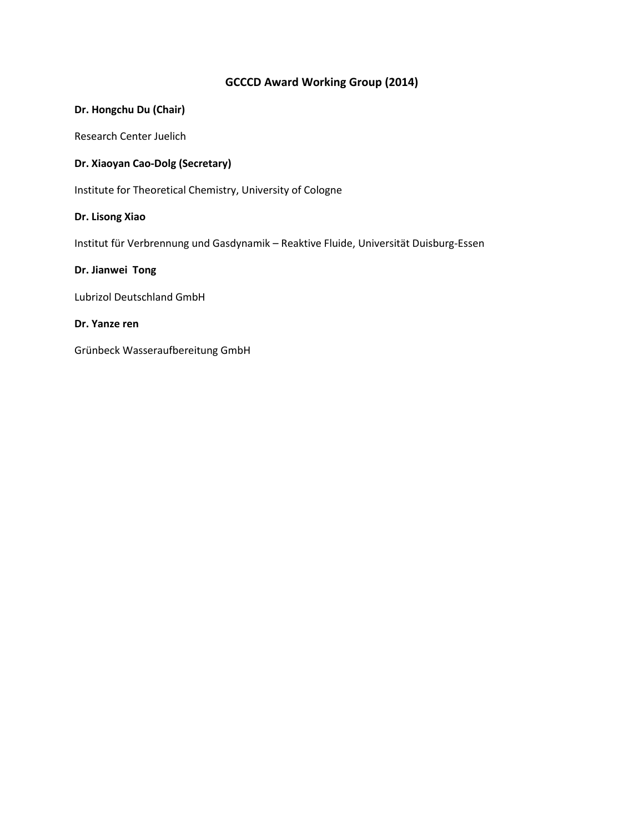# **GCCCD Award Working Group (2014)**

# **Dr. Hongchu Du (Chair)**

Research Center Juelich

# **Dr. Xiaoyan Cao-Dolg (Secretary)**

Institute for Theoretical Chemistry, University of Cologne

## **Dr. Lisong Xiao**

Institut für Verbrennung und Gasdynamik – Reaktive Fluide, Universität Duisburg-Essen

### **Dr. Jianwei Tong**

Lubrizol Deutschland GmbH

# **Dr. Yanze ren**

Grünbeck Wasseraufbereitung GmbH